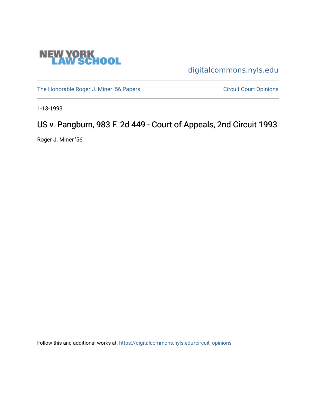

[digitalcommons.nyls.edu](https://digitalcommons.nyls.edu/) 

[The Honorable Roger J. Miner '56 Papers](https://digitalcommons.nyls.edu/miner_papers) Circuit Court Opinions

1-13-1993

# US v. Pangburn, 983 F. 2d 449 - Court of Appeals, 2nd Circuit 1993

Roger J. Miner '56

Follow this and additional works at: [https://digitalcommons.nyls.edu/circuit\\_opinions](https://digitalcommons.nyls.edu/circuit_opinions?utm_source=digitalcommons.nyls.edu%2Fcircuit_opinions%2F378&utm_medium=PDF&utm_campaign=PDFCoverPages)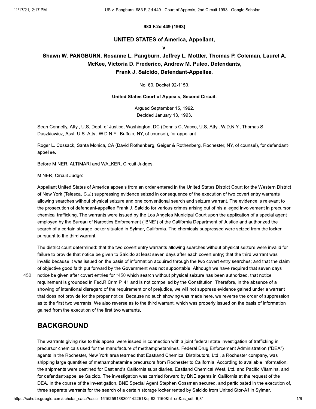#### 983 F.2d 449 (1993)

#### **UNITED STATES of America, Appellant,**

 $\mathbf{v}$ 

### Shawn W. PANGBURN, Rosanne L. Pangburn, Jeffrey L. Mottler, Thomas P. Coleman, Laurel A. McKee, Victoria D. Frederico, Andrew M. Puleo, Defendants, Frank J. Salcido, Defendant-Appellee.

No. 60, Docket 92-1150.

#### United States Court of Appeals, Second Circuit.

Argued September 15, 1992. Decided January 13, 1993.

Sean Connelly, Atty., U.S. Dept. of Justice, Washington, DC (Dennis C. Vacco, U.S. Atty., W.D.N.Y., Thomas S. Duszkiewicz, Asst. U.S. Atty., W.D.N.Y., Buffalo, NY, of counsel), for appellant.

Roger L. Cossack, Santa Monica, CA (David Rothenberg, Geiger & Rothenberg, Rochester, NY, of counsel), for defendantappellee.

Before MINER, ALTIMARI and WALKER, Circuit Judges.

#### MINER, Circuit Judge:

Appellant United States of America appeals from an order entered in the United States District Court for the Western District of New York (Telesca, C.J.) suppressing evidence seized in consequence of the execution of two covert entry warrants allowing searches without physical seizure and one conventional search and seizure warrant. The evidence is relevant to the prosecution of defendant-appellee Frank J. Salcido for various crimes arising out of his alleged involvement in precursor chemical trafficking. The warrants were issued by the Los Angeles Municipal Court upon the application of a special agent employed by the Bureau of Narcotics Enforcement ("BNE") of the California Department of Justice and authorized the search of a certain storage locker situated in Sylmar, California. The chemicals suppressed were seized from the locker pursuant to the third warrant.

450

The district court determined: that the two covert entry warrants allowing searches without physical seizure were invalid for failure to provide that notice be given to Salcido at least seven days after each covert entry; that the third warrant was invalid because it was issued on the basis of information acquired through the two covert entry searches; and that the claim of objective good faith put forward by the Government was not supportable. Although we have required that seven days notice be given after covert entries for \*450 which search without physical seizure has been authorized, that notice requirement is grounded in Fed.R.Crim.P. 41 and is not compelled by the Constitution. Therefore, in the absence of a showing of intentional disregard of the requirement or of prejudice, we will not suppress evidence gained under a warrant that does not provide for the proper notice. Because no such showing was made here, we reverse the order of suppression as to the first two warrants. We also reverse as to the third warrant, which was properly issued on the basis of information gained from the execution of the first two warrants.

### **BACKGROUND**

The warrants giving rise to this appeal were issued in connection with a joint federal-state investigation of trafficking in precursor chemicals used for the manufacture of methamphetamines. Federal Drug Enforcement Administration ("DEA") agents in the Rochester, New York area learned that Eastland Chemical Distributors, Ltd., a Rochester company, was shipping large quantities of methamphetamine precursors from Rochester to California. According to available information, the shipments were destined for Eastland's California subsidiaries, Eastland Chemical West, Ltd. and Pacific Vitamins, and for defendant-appellee Salcido. The investigation was carried forward by BNE agents in California at the request of the DEA. In the course of the investigation, BNE Special Agent Stephen Gossman secured, and participated in the execution of, three separate warrants for the search of a certain storage locker rented by Salcido from United Stor-All in Sylmar.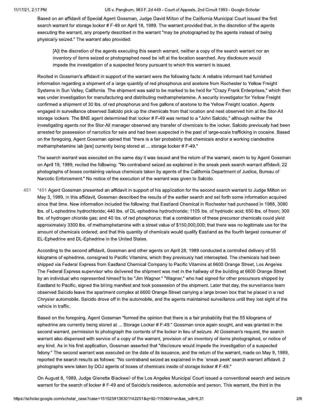Based on an affidavit of Special Agent Gossman, Judge David Milton of the California Municipal Court issued the first search warrant for storage locker # F-49 on April 18, 1989. The warrant provided that, in the discretion of the agents executing the warrant, any property described in the warrant "may be photographed by the agents instead of being physically seized." The warrant also provided:

[A]t the discretion of the agents executing this search warrant, neither a copy of the search warrant nor an inventory of items seized or photographed need be left at the location searched. Any disclosure would impede the investigation of a suspected felony pursuant to which this warrant is issued.

Recited in Gossman's affidavit in support of the warrant were the following facts: A reliable informant had furnished information regarding a shipment of a large quantity of red phosphorus and acetone from Rochester to Yellow Freight Systems in Sun Valley, California. The shipment was said to be marked to be held for "Crazy Frank Enterprises," which then was under investigation for manufacturing and distributing methamphetamine. A security investigator for Yellow Freight confirmed a shipment of 30 lbs. of red phosphorus and five gallons of acetone to the Yellow Freight location. Agents engaged in surveillance observed Salcido pick up the chemicals from that location and next observed him at the Stor-All storage lockers. The BNE agent determined that locker # F-49 was rented to a "John Salcido," although neither the investigating agents nor the Stor-All manager observed any transfer of chemicals to the locker. Salcido previously had been arrested for possession of narcotics for sale and had been suspected in the past of large-scale trafficking in cocaine. Based on the foregoing, Agent Gossman opined that "there is a fair probability that chemicals and/or a working clandestine methamphetamine lab [are] currently being stored at ... storage locker # F-49."

The search warrant was executed on the same day it was issued and the return of the warrant, sworn to by Agent Gossman on April 19, 1989, recited the following: "No contraband seized as explained in the sneak peek search warrant affidavit. 22 photographs of boxes containing various chemicals taken by agents of the California Department of Justice, Bureau of Narcotic Enforcement." No notice of the execution of the warrant was given to Salcido.

451 \*451 Agent Gossman presented an affidavit in support of his application for the second search warrant to Judge Milton on May 3, 1989. In this affidavit, Gossman described the results of the earlier search and set forth some information acquired since that time. New information included the following: that Eastland Chemical in Rochester had purchased in 1988, 3080 Ibs. of L-ephedrine hydrochloride; 440 lbs. of DL-ephedrine hydrochloride; 1105 lbs. of hydriodic acid; 650 lbs. of freon; 300 Ibs. of hydrogen chloride gas; and 40 lbs. of red phosphorus; that a combination of these precursor chemicals could yield approximately 3300 lbs. of methamphetamine with a street value of \$150,000,000; that there was no legitimate use for the amount of chemicals ordered; and that this quantity of chemicals would qualify Eastland as the fourth largest consumer of EL-Ephedrine and DL-Ephedrine in the United States.

According to the second affidavit, Gossman and other agents on April 28, 1989 conducted a controlled delivery of 55 kilograms of ephedrine, consigned to Pacific Vitamins, which they previously had intercepted. The chemicals had been shipped via Federal Express from Eastland Chemical Company to Pacific Vitamins at 6600 Orange Street, Los Angeles. The Federal Express supervisor who delivered the shipment was met in the hallway of the building at 6600 Orange Street by an individual who represented himself to be "Jim Wagner." "Wagner," who had signed for other precursors shipped by Eastland to Pacific, signed the billing manifest and took possession of the shipment. Later that day, the surveillance team observed Salcido leave the apartment complex at 6600 Orange Street carrying a large brown box that he placed in a red Chrysler automobile. Salcido drove off in the automobile, and the agents maintained surveillance until they lost sight of the vehicle in traffic.

Based on the foregoing, Agent Gossman "formed the opinion that there is a fair probability that the 55 kilograms of ephedrine are currently being stored at ... Storage Locker # F-49." Gossman once again sought, and was granted in the second warrant, permission to photograph the contents of the locker in lieu of seizure. At Gossman's request, the search warrant also dispensed with service of a copy of the warrant, provision of an inventory of items photographed, or notice of any kind. As in his first application, Gossman asserted that "disclosure would impede the investigation of a suspected felony." The second warrant was executed on the date of its issuance, and the return of the warrant, made on May 9, 1989, reported the search results as follows: "No contraband seized as explained in the `sneak peek' search warrant affidavit. 2 photographs were taken by DOJ agents of boxes of chemicals inside of storage locker # F-49."

On August 8, 1989, Judge Glenette Blackwell of the Los Angeles Municipal Court issued a conventional search and seizure warrant for the search of locker # F-49 and of Salcido's residence, automobile and person. This warrant, the third in the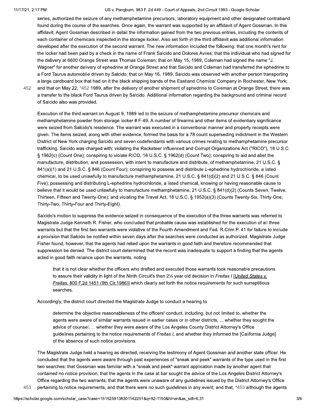#### 11/17/21, 2:17 PM

#### US v. Pangburn, 983 F. 2d 449 - Court of Appeals, 2nd Circuit 1993 - Google Scholar

series, authorized the seizure of any methamphetamine precursors, laboratory equipment and other designated contraband found during the course of the searches. Once again, the warrant was supported by an affidavit of Agent Gossman. In this affidavit, Agent Gossman described in detail the information gained from the two previous entries, including the contents of each container of chemicals inspected in the storage locker. Also set forth in the third affidavit was additional information developed after the execution of the second warrant. The new information included the following: that one month's rent for the locker had been paid by a check in the name of Frank Salcido and Dolores Aviles; that the individual who had signed for the delivery at 6600 Orange Street was Thomas Coleman; that on May 15, 1989, Coleman had signed the name "J. Wagner" for another delivery of ephedrine at Orange Street and that Salcido and Coleman had transferred the ephedrine to a Ford Taurus automobile driven by Salcido; that on May 16, 1989, Salcido was observed with another person transporting a large cardboard box that had on it the black shipping bands of the Eastland Chemical Company in Rochester, New York; and that on May 22, \*452 1989, after the delivery of another shipment of ephedrine to Coleman at Orange Street, there was a transfer to the black Ford Taurus driven by Salcido. Additional information regarding the background and criminal record

452

453

of Salcido also was provided.

Execution of the third warrant on August 9, 1989 led to the seizure of methamphetamine precursor chemicals and methamphetamine powder from storage locker # F-49. A number of firearms and other items of evidentiary significance were seized from Salcido's residence. The warrant was executed in a conventional manner and property receipts were given. The items seized, along with other evidence, formed the basis for a 78 count superseding indictment in the Western District of New York charging Salcido and seven codefendants with various crimes relating to methamphetamine precursor trafficking. Salcido was charged with: violating the Racketeer Influenced and Corrupt Organizations Act ("RICO"), 18 U.S.C. § 1962(c) (Count One); conspiring to violate RICO, 18 U.S.C. § 1962(d) (Count Two); conspiring to aid and abet the manufacture, distribution, and possession, with intent to manufacture and distribute, of methamphetamine, 21 U.S.C. § 841(a)(1) and 21 U.S.C. § 846 (Count Four); conspiring to possess and distribute L-ephedrine hydrochloride, a listed chemical, to be used unlawfully to manufacture methamphetamine, 21 U.S.C. § 841(d)(2) and 21 U.S.C. § 846 (Count Five); possessing and distributing L-ephedrine hydrochloride, a listed chemical, knowing or having reasonable cause to believe that it would be used unlawfully to manufacture methamphetamine, 21 U.S.C. § 841(d)(2) (Counts Seven, Twelve, Thirteen, Fifteen and Twenty-One); and violating the Travel Act, 18 U.S.C. § 1952(a)(3) (Counts Twenty-Six, Thirty-One, Thirty-Two, Thirty-Four and Thirty-Eight).

Salcido's motion to suppress the evidence seized in consequence of the execution of the three warrants was referred to Magistrate Judge Kenneth R. Fisher, who concluded that probable cause was established for the execution of all three warrants but that the first two warrants were violative of the Fourth Amendment and Fed. R.Crim.P. 41 for failure to include a provision that Salcido be notified within seven days after the searches were conducted as authorized. Magistrate Judge Fisher found, however, that the agents had relied upon the warrants in good faith and therefore recommended that suppression be denied. The district court determined that the record was inadequate to support a finding that the agents acted in good faith reliance upon the warrants, noting

that it is not clear whether the officers who drafted and executed those warrants took reasonable precautions to assure their validity in light of the Ninth Circuit's then 21/2 year old decision in Freitas I [United States v. Freitas, 800 F.2d 1451 (9th Cir.1986)] which clearly set forth the notice requirements for such surreptitious searches.

Accordingly, the district court directed the Magistrate Judge to conduct a hearing to

determine the objective reasonableness of the officers' conduct, including, but not limited to, whether the agents were aware of similar warrants issued in earlier cases or in other districts, ... whether they sought the advice of counsel, ... whether they were aware of the Los Angeles County District Attorney's Office quidelines pertaining to the notice requirements of Freitas I, and whether they informed the [California Judge] of the absence of such notice provisions.

The Magistrate Judge held a hearing as directed, receiving the testimony of Agent Gossman and another state officer. He concluded that the agents were aware through past experiences of "sneak and peek" warrants of the type used in the first two searches; that Gossman was familiar with a "sneak and peek" warrant application made by another agent that contained no notice provision; that the agents in the case at bar sought the advice of the Los Angeles District Attorney's Office regarding the two warrants; that the agents were unaware of any guidelines issued by the District Attorney's Office pertaining to notice requirements, and that there were no such quidelines in any event; and that, \*453 although the agents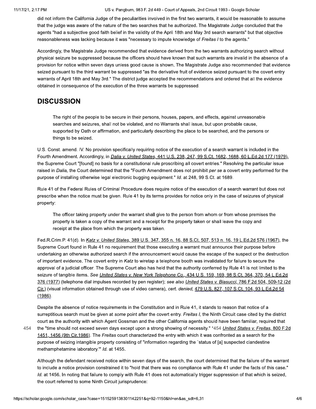did not inform the California Judge of the peculiarities involved in the first two warrants, it would be reasonable to assume that the judge was aware of the nature of the two searches that he authorized. The Magistrate Judge concluded that the agents "had a subjective good faith belief in the validity of the April 18th and May 3rd search warrants" but that objective reasonableness was lacking because it was "necessary to impute knowledge of Freitas I to the agents."

Accordingly, the Magistrate Judge recommended that evidence derived from the two warrants authorizing search without physical seizure be suppressed because the officers should have known that such warrants are invalid in the absence of a provision for notice within seven days unless good cause is shown. The Magistrate Judge also recommended that evidence seized pursuant to the third warrant be suppressed "as the derivative fruit of evidence seized pursuant to the covert entry warrants of April 18th and May 3rd." The district judge accepted the recommendations and ordered that all the evidence obtained in consequence of the execution of the three warrants be suppressed.

## **DISCUSSION**

The right of the people to be secure in their persons, houses, papers, and effects, against unreasonable searches and seizures, shall not be violated, and no Warrants shall issue, but upon probable cause, supported by Oath or affirmation, and particularly describing the place to be searched, and the persons or things to be seized.

U.S. Const. amend. IV. No provision specifically requiring notice of the execution of a search warrant is included in the Fourth Amendment. Accordingly, in Dalia v. United States, 441 U.S. 238, 247, 99 S.Ct. 1682, 1688, 60 L.Ed.2d 177 (1979), the Supreme Court "[found] no basis for a constitutional rule proscribing all covert entries." Resolving the particular issue raised in Dalia, the Court determined that the "Fourth Amendment does not prohibit per se a covert entry performed for the purpose of installing otherwise legal electronic bugging equipment." Id. at 248, 99 S.Ct. at 1689.

Rule 41 of the Federal Rules of Criminal Procedure does require notice of the execution of a search warrant but does not prescribe when the notice must be given. Rule 41 by its terms provides for notice only in the case of seizures of physical property:

The officer taking property under the warrant shall give to the person from whom or from whose premises the property is taken a copy of the warrant and a receipt for the property taken or shall leave the copy and receipt at the place from which the property was taken.

Fed.R.Crim.P. 41(d). In Katz v. United States, 389 U.S. 347, 355 n. 16, 88 S.Ct. 507, 513 n. 16, 19 L.Ed.2d 576 (1967), the Supreme Court found in Rule 41 no requirement that those executing a warrant must announce their purpose before undertaking an otherwise authorized search if the announcement would cause the escape of the suspect or the destruction of important evidence. The covert entry in Katz to wiretap a telephone booth was invalidated for failure to secure the approval of a judicial officer. The Supreme Court also has held that the authority conferred by Rule 41 is not limited to the seizure of tangible items. See United States v. New York Telephone Co., 434 U.S. 159, 169, 98 S.Ct. 364, 370, 54 L.Ed.2d 376 (1977) (telephone dial impulses recorded by pen register); see also United States v. Biasucci, 786 F.2d 504, 509-12 (2d Cir.) (visual information obtained through use of video camera), cert. denied, 479 U.S. 827, 107 S.Ct. 104, 93 L.Ed.2d 54  $(1986)$ .

454

Despite the absence of notice requirements in the Constitution and in Rule 41, it stands to reason that notice of a surreptitious search must be given at some point after the covert entry. Freitas I, the Ninth Circuit case cited by the district court as the authority with which Agent Gossman and the other California agents should have been familiar, required that the "time should not exceed seven days except upon a strong showing of necessity." \*454 United States v. Freitas, 800 F.2d 1451, 1456 (9th Cir.1986). The Freitas court characterized the entry with which it was confronted as a search for the purpose of seizing intangible property consisting of "information regarding the `status of [a] suspected clandestine methamphetamine laboratory." Id. at 1455.

Although the defendant received notice within seven days of the search, the court determined that the failure of the warrant to include a notice provision constrained it to "hold that there was no compliance with Rule 41 under the facts of this case." Id. at 1456. In noting that failure to comply with Rule 41 does not automatically trigger suppression of that which is seized, the court referred to some Ninth Circuit jurisprudence: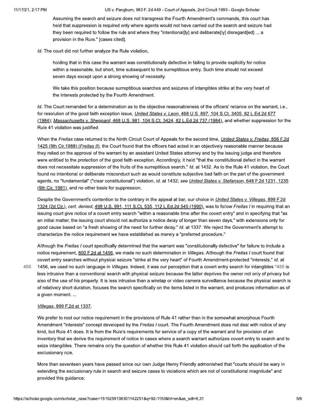Assuming the search and seizure does not transgress the Fourth Amendment's commands, this court has held that suppression is required only where agents would not have carried out the search and seizure had they been required to follow the rule and where they "intentional[ly] and deliberate[ly] disregard[ed] ... a provision in the Rule." [cases cited].

Id. The court did not further analyze the Rule violation,

holding that in this case the warrant was constitutionally defective in failing to provide explicitly for notice within a reasonable, but short, time subsequent to the surreptitious entry. Such time should not exceed seven days except upon a strong showing of necessity.

We take this position because surreptitious searches and seizures of intangibles strike at the very heart of the interests protected by the Fourth Amendment.

Id. The Court remanded for a determination as to the objective reasonableness of the officers' reliance on the warrant, i.e., for resolution of the good faith exception issue, *United States v. Leon*, 468 U.S. 897, 104 S.Ct. 3405, 82 L.Ed.2d 677 (1984); Massachusetts v. Sheppard, 468 U.S. 981, 104 S.Ct. 3424, 82 L.Ed.2d 737 (1984), and whether suppression for the Rule 41 violation was justified.

When the Freitas case returned to the Ninth Circuit Court of Appeals for the second time, United States v. Freitas, 856 F.2d 1425 (9th Cir.1988) (Freitas II), the Court found that the officers had acted in an objectively reasonable manner because they relied on the approval of the warrant by an assistant United States attorney and by the issuing judge and therefore were entitled to the protection of the good faith exception. Accordingly, it held "that the constitutional defect in the warrant does not necessitate suppression of the fruits of the surreptitious search." Id. at 1432. As to the Rule 41 violation, the Court found no intentional or deliberate misconduct such as would constitute subjective bad faith on the part of the government agents, no "fundamental" ("clear constitutional") violation, id. at 1432; see United States v. Stefanson, 648 F.2d 1231, 1235 (9th Cir. 1981), and no other basis for suppression.

Despite the Government's contention to the contrary in the appeal at bar, our choice in United States v. Villegas, 899 F.2d 1324 (2d Cir.), cert. denied, 498 U.S. 991, 111 S.Ct. 535, 112 L.Ed.2d 545 (1990), was to follow Freitas I in requiring that an issuing court give notice of a covert entry search "within a reasonable time after the covert entry" and in specifying that "as an initial matter, the issuing court should not authorize a notice delay of longer than seven days," with extensions only for good cause based on "a fresh showing of the need for further delay." Id. at 1337. We reject the Government's attempt to characterize the notice requirement we have established as merely a "preferred procedure."

Although the Freitas I court specifically determined that the warrant was "constitutionally defective" for failure to include a notice requirement, 800 F.2d at 1456, we made no such determination in Villegas. Although the Freitas I court found that covert entry searches without physical seizure "strike at the very heart" of Fourth Amendment-protected "interests," id. at 1456, we used no such language in Villegas. Indeed, it was our perception that a covert entry search for intangibles \*455 is less intrusive than a conventional search with physical seizure because the latter deprives the owner not only of privacy but also of the use of his property. It is less intrusive than a wiretap or video camera surveillance because the physical search is of relatively short duration, focuses the search specifically on the items listed in the warrant, and produces information as of a given moment....

#### Villegas, 899 F.2d at 1337.

455

We prefer to root our notice requirement in the provisions of Rule 41 rather than in the somewhat amorphous Fourth Amendment "interests" concept developed by the Freitas I court. The Fourth Amendment does not deal with notice of any kind, but Rule 41 does. It is from the Rule's requirements for service of a copy of the warrant and for provision of an inventory that we derive the requirement of notice in cases where a search warrant authorizes covert entry to search and to seize intangibles. There remains only the question of whether this Rule 41 violation should call forth the application of the exclusionary rule.

More than seventeen years have passed since our own Judge Henry Friendly admonished that "courts should be wary in extending the exclusionary rule in search and seizure cases to violations which are not of constitutional magnitude" and provided this guidance: